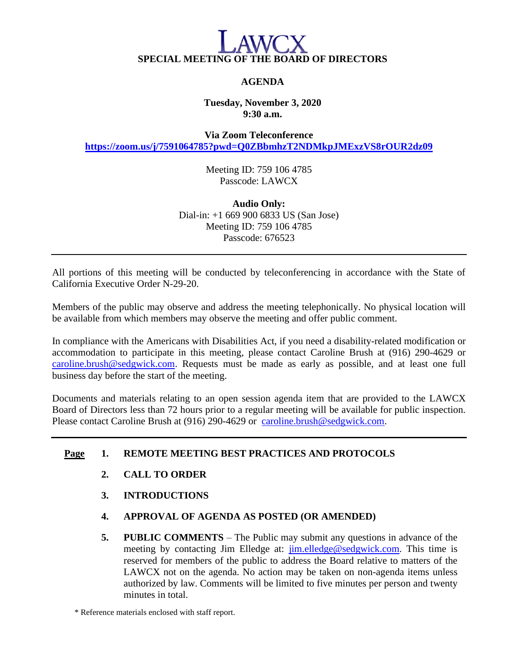# **SPECIAL MEETING OF THE BOARD OF DIRECTORS**

## **AGENDA**

### **Tuesday, November 3, 2020 9:30 a.m.**

**Via Zoom Teleconference <https://zoom.us/j/7591064785?pwd=Q0ZBbmhzT2NDMkpJMExzVS8rOUR2dz09>**

> Meeting ID: 759 106 4785 Passcode: LAWCX

**Audio Only:** Dial-in: +1 669 900 6833 US (San Jose) Meeting ID: 759 106 4785 Passcode: 676523

All portions of this meeting will be conducted by teleconferencing in accordance with the State of California Executive Order N-29-20.

Members of the public may observe and address the meeting telephonically. No physical location will be available from which members may observe the meeting and offer public comment.

In compliance with the Americans with Disabilities Act, if you need a disability-related modification or accommodation to participate in this meeting, please contact Caroline Brush at (916) 290-4629 or [caroline.brush@sedgwick.com.](mailto:caroline.brush@sedgwick.com) Requests must be made as early as possible, and at least one full business day before the start of the meeting.

Documents and materials relating to an open session agenda item that are provided to the LAWCX Board of Directors less than 72 hours prior to a regular meeting will be available for public inspection. Please contact Caroline Brush at (916) 290-4629 or [caroline.brush@sedgwick.com.](mailto:caroline.brush@sedgwick.com)

### **Page 1. REMOTE MEETING BEST PRACTICES AND PROTOCOLS**

- **2. CALL TO ORDER**
- **3. INTRODUCTIONS**
- **4. APPROVAL OF AGENDA AS POSTED (OR AMENDED)**
- **5. PUBLIC COMMENTS** The Public may submit any questions in advance of the meeting by contacting Jim Elledge at: [jim.elledge@sedgwick.com.](mailto:jim.elledge@sedgwick.com) This time is reserved for members of the public to address the Board relative to matters of the LAWCX not on the agenda. No action may be taken on non-agenda items unless authorized by law. Comments will be limited to five minutes per person and twenty minutes in total.

\* Reference materials enclosed with staff report.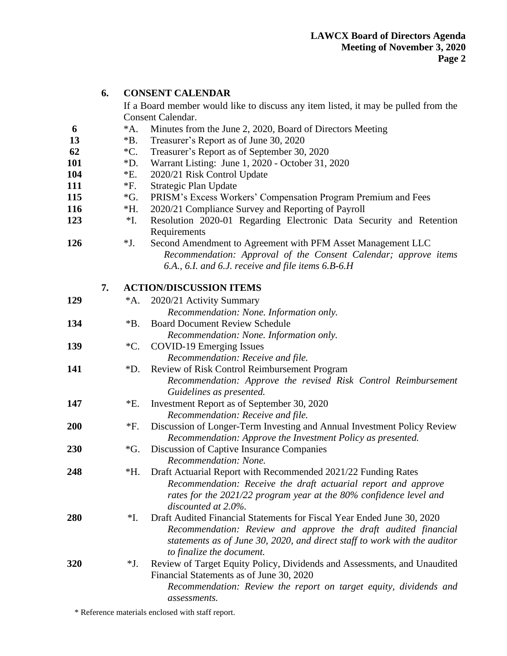|     | 6. | <b>CONSENT CALENDAR</b>        |                                                                                                                                                                                      |
|-----|----|--------------------------------|--------------------------------------------------------------------------------------------------------------------------------------------------------------------------------------|
|     |    |                                | If a Board member would like to discuss any item listed, it may be pulled from the                                                                                                   |
|     |    |                                | <b>Consent Calendar.</b>                                                                                                                                                             |
| 6   |    | $^*A.$                         | Minutes from the June 2, 2020, Board of Directors Meeting                                                                                                                            |
| 13  |    | $*B.$                          | Treasurer's Report as of June 30, 2020                                                                                                                                               |
| 62  |    | $^{\ast}C.$                    | Treasurer's Report as of September 30, 2020                                                                                                                                          |
| 101 |    | $*D.$                          | Warrant Listing: June 1, 2020 - October 31, 2020                                                                                                                                     |
| 104 |    | $E$ .                          | 2020/21 Risk Control Update                                                                                                                                                          |
| 111 |    | $*F.$                          | Strategic Plan Update                                                                                                                                                                |
| 115 |    | $\mathcal{G}$ .                | PRISM's Excess Workers' Compensation Program Premium and Fees                                                                                                                        |
| 116 |    | $*H.$                          | 2020/21 Compliance Survey and Reporting of Payroll                                                                                                                                   |
| 123 |    | $*I.$                          | Resolution 2020-01 Regarding Electronic Data Security and Retention<br>Requirements                                                                                                  |
| 126 |    | $*J.$                          | Second Amendment to Agreement with PFM Asset Management LLC<br>Recommendation: Approval of the Consent Calendar; approve items<br>6.A., 6.I. and 6.J. receive and file items 6.B-6.H |
|     | 7. | <b>ACTION/DISCUSSION ITEMS</b> |                                                                                                                                                                                      |
| 129 |    | *A.                            | 2020/21 Activity Summary                                                                                                                                                             |
|     |    |                                | Recommendation: None. Information only.                                                                                                                                              |
| 134 |    | $\mathrm{^*B}.$                | <b>Board Document Review Schedule</b><br>Recommendation: None. Information only.                                                                                                     |
| 139 |    | $\rm ^*C.$                     | <b>COVID-19 Emerging Issues</b><br>Recommendation: Receive and file.                                                                                                                 |
| 141 |    | $\rm *D.$                      | Review of Risk Control Reimbursement Program                                                                                                                                         |
|     |    |                                | Recommendation: Approve the revised Risk Control Reimbursement                                                                                                                       |
|     |    |                                | Guidelines as presented.                                                                                                                                                             |
| 147 |    | $E$ .                          | Investment Report as of September 30, 2020                                                                                                                                           |
|     |    |                                | Recommendation: Receive and file.                                                                                                                                                    |
| 200 |    | $*F.$                          | Discussion of Longer-Term Investing and Annual Investment Policy Review                                                                                                              |
|     |    |                                | Recommendation: Approve the Investment Policy as presented.                                                                                                                          |
| 230 |    | *G.                            | Discussion of Captive Insurance Companies                                                                                                                                            |
|     |    |                                | Recommendation: None.                                                                                                                                                                |
| 248 |    | *H.                            | Draft Actuarial Report with Recommended 2021/22 Funding Rates                                                                                                                        |
|     |    |                                | Recommendation: Receive the draft actuarial report and approve<br>rates for the 2021/22 program year at the 80% confidence level and<br>discounted at 2.0%.                          |
| 280 |    | $*I.$                          | Draft Audited Financial Statements for Fiscal Year Ended June 30, 2020                                                                                                               |
|     |    |                                | Recommendation: Review and approve the draft audited financial<br>statements as of June 30, 2020, and direct staff to work with the auditor<br>to finalize the document.             |
| 320 |    | $*J.$                          | Review of Target Equity Policy, Dividends and Assessments, and Unaudited                                                                                                             |
|     |    |                                | Financial Statements as of June 30, 2020<br>Recommendation: Review the report on target equity, dividends and                                                                        |
|     |    |                                | assessments.                                                                                                                                                                         |

\* Reference materials enclosed with staff report.